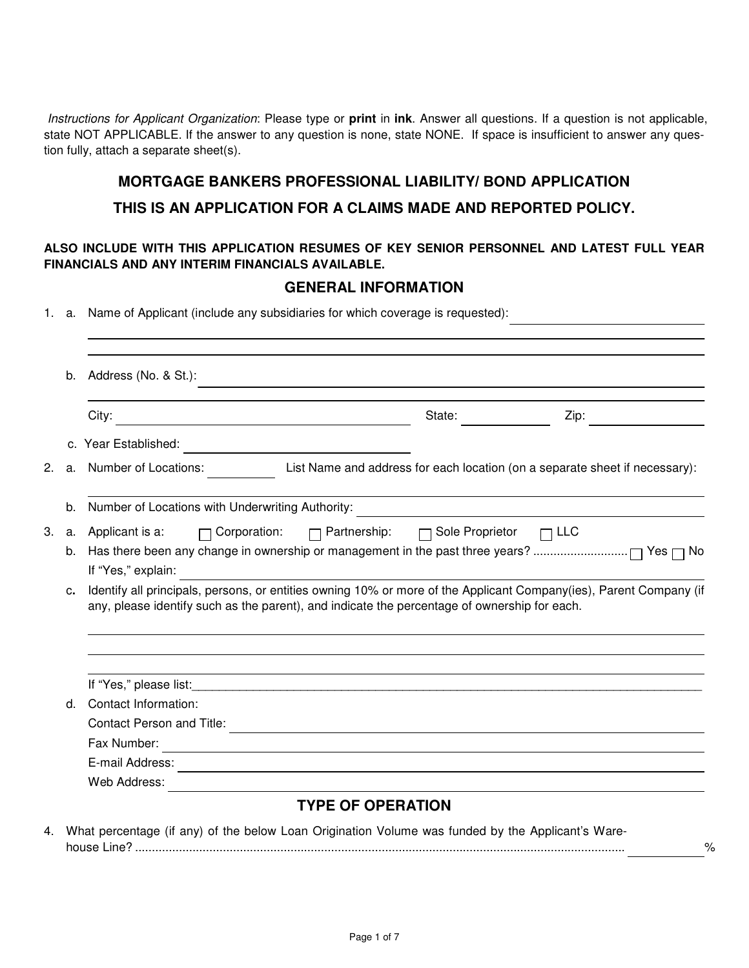Instructions for Applicant Organization: Please type or **print** in **ink**. Answer all questions. If a question is not applicable, state NOT APPLICABLE. If the answer to any question is none, state NONE. If space is insufficient to answer any question fully, attach a separate sheet(s).

# **MORTGAGE BANKERS PROFESSIONAL LIABILITY/ BOND APPLICATION**

## **THIS IS AN APPLICATION FOR A CLAIMS MADE AND REPORTED POLICY.**

## **ALSO INCLUDE WITH THIS APPLICATION RESUMES OF KEY SENIOR PERSONNEL AND LATEST FULL YEAR FINANCIALS AND ANY INTERIM FINANCIALS AVAILABLE.**

# **GENERAL INFORMATION**

1. a. Name of Applicant (include any subsidiaries for which coverage is requested):

|    | b. | Address (No. & St.):<br><u> 1989 - Johann Stein, marwolaethau a bhann an t-Albann an t-Albann an t-Albann an t-Albann an t-Albann an t-Al</u>                                                                      |        |      |  |  |  |  |
|----|----|--------------------------------------------------------------------------------------------------------------------------------------------------------------------------------------------------------------------|--------|------|--|--|--|--|
|    |    | City:<br><u> 1980 - Johann Stoff, deutscher Stoffen und der Stoffen und der Stoffen und der Stoffen und der Stoffen und der</u>                                                                                    | State: | Zip: |  |  |  |  |
|    |    | c. Year Established:<br><u> 1980 - Johann Barn, mars ann an t-Amhain Aonaichte ann an t-Aonaichte ann an t-Aonaichte ann an t-Aonaichte a</u>                                                                      |        |      |  |  |  |  |
| 2. |    | a. Number of Locations: List Name and address for each location (on a separate sheet if necessary):                                                                                                                |        |      |  |  |  |  |
|    |    | b. Number of Locations with Underwriting Authority:                                                                                                                                                                |        |      |  |  |  |  |
| 3. | а. | □ Corporation: □ Partnership: □ Sole Proprietor □ LLC<br>Applicant is a:                                                                                                                                           |        |      |  |  |  |  |
|    | b. |                                                                                                                                                                                                                    |        |      |  |  |  |  |
|    |    | If "Yes," explain:                                                                                                                                                                                                 |        |      |  |  |  |  |
|    | c. | Identify all principals, persons, or entities owning 10% or more of the Applicant Company(ies), Parent Company (if<br>any, please identify such as the parent), and indicate the percentage of ownership for each. |        |      |  |  |  |  |
|    |    | ,我们也不会有什么。""我们的人,我们也不会有什么?""我们的人,我们也不会有什么?""我们的人,我们也不会有什么?""我们的人,我们也不会有什么?""我们的人                                                                                                                                   |        |      |  |  |  |  |
|    | d. | Contact Information:                                                                                                                                                                                               |        |      |  |  |  |  |
|    |    | <b>Contact Person and Title:</b>                                                                                                                                                                                   |        |      |  |  |  |  |
|    |    |                                                                                                                                                                                                                    |        |      |  |  |  |  |
|    |    | <u> 1980 - Johann Stoff, deutscher Stoffen und der Stoffen und der Stoffen und der Stoffen und der Stoffen und der</u><br>Fax Number:                                                                              |        |      |  |  |  |  |
|    |    | <u> 1989 - Johann Stoff, deutscher Stoffen und der Stoffen und der Stoffen und der Stoffen und der Stoffen und de</u><br>E-mail Address:                                                                           |        |      |  |  |  |  |
|    |    | <u> 1989 - Johann Stoff, amerikansk politiker (* 1908)</u><br>Web Address:                                                                                                                                         |        |      |  |  |  |  |

house Line? ................................................................................................................................................. %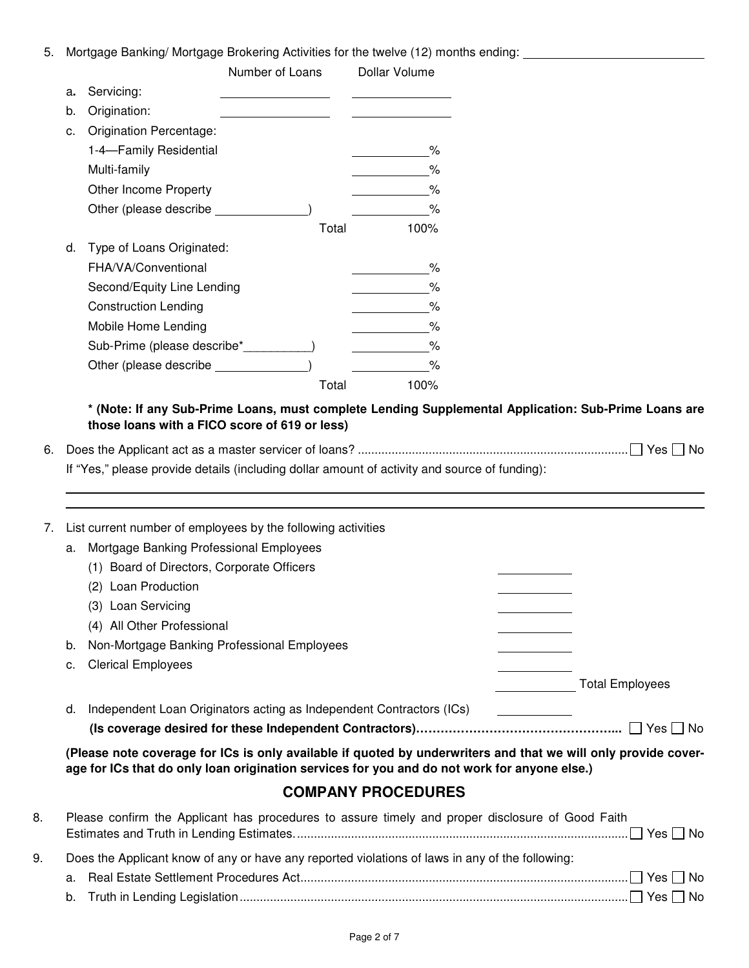5. Mortgage Banking/ Mortgage Brokering Activities for the twelve (12) months ending:

|    |                             | Number of Loans Dollar Volume                    |      |
|----|-----------------------------|--------------------------------------------------|------|
| a. | Servicing:                  | the control of the control of the control of     |      |
| b. | Origination:                | the control of the control of the control of the |      |
| c. | Origination Percentage:     |                                                  |      |
|    | 1-4-Family Residential      |                                                  | %    |
|    | Multi-family                |                                                  | %    |
|    | Other Income Property       |                                                  | %    |
|    | Other (please describe      |                                                  | %    |
|    |                             | Total                                            | 100% |
| d. | Type of Loans Originated:   |                                                  |      |
|    | FHA/VA/Conventional         |                                                  | ℅    |
|    | Second/Equity Line Lending  |                                                  | $\%$ |
|    | <b>Construction Lending</b> |                                                  | %    |
|    | Mobile Home Lending         |                                                  | ℅    |
|    | Sub-Prime (please describe* |                                                  | %    |
|    | Other (please describe      |                                                  | $\%$ |
|    |                             | Total                                            | 100% |

## **\* (Note: If any Sub-Prime Loans, must complete Lending Supplemental Application: Sub-Prime Loans are those loans with a FICO score of 619 or less)**

6. Does the Applicant act as a master servicer of loans? ................................................................................ Yes No

If "Yes," please provide details (including dollar amount of activity and source of funding):

7. List current number of employees by the following activities a. Mortgage Banking Professional Employees

|    | <b>MORGAGO Barming Froroccional Employ Coo</b>                       |                        |
|----|----------------------------------------------------------------------|------------------------|
|    | (1) Board of Directors, Corporate Officers                           |                        |
|    | (2) Loan Production                                                  |                        |
|    | (3) Loan Servicing                                                   |                        |
|    | (4) All Other Professional                                           |                        |
| b. | Non-Mortgage Banking Professional Employees                          |                        |
|    | c. Clerical Employees                                                |                        |
|    |                                                                      | <b>Total Employees</b> |
| d. | Independent Loan Originators acting as Independent Contractors (ICs) |                        |
|    |                                                                      | No.<br>Yes             |

**(Please note coverage for ICs is only available if quoted by underwriters and that we will only provide coverage for ICs that do only loan origination services for you and do not work for anyone else.)**

# **COMPANY PROCEDURES**

| 8.                                                                                                    | Please confirm the Applicant has procedures to assure timely and proper disclosure of Good Faith |  |  |
|-------------------------------------------------------------------------------------------------------|--------------------------------------------------------------------------------------------------|--|--|
|                                                                                                       |                                                                                                  |  |  |
| Does the Applicant know of any or have any reported violations of laws in any of the following:<br>9. |                                                                                                  |  |  |
|                                                                                                       |                                                                                                  |  |  |
|                                                                                                       |                                                                                                  |  |  |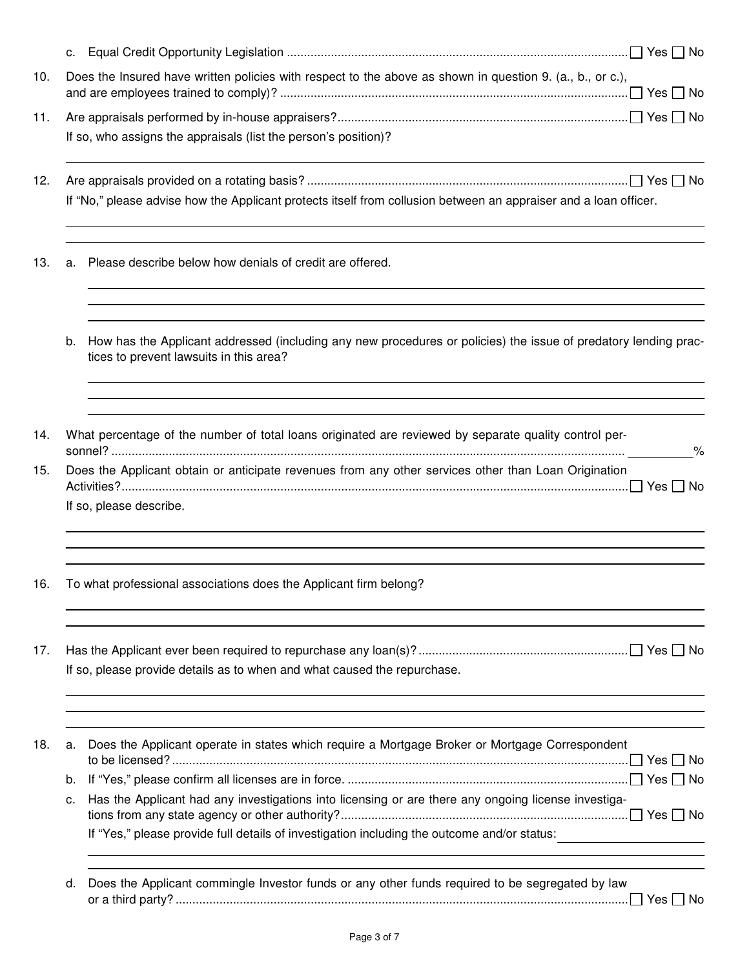|    | Does the Insured have written policies with respect to the above as shown in question 9. (a., b., or c.),                                                                                                                                     |
|----|-----------------------------------------------------------------------------------------------------------------------------------------------------------------------------------------------------------------------------------------------|
|    |                                                                                                                                                                                                                                               |
|    |                                                                                                                                                                                                                                               |
|    | If so, who assigns the appraisals (list the person's position)?                                                                                                                                                                               |
|    | If "No," please advise how the Applicant protects itself from collusion between an appraiser and a loan officer.                                                                                                                              |
| а. | Please describe below how denials of credit are offered.                                                                                                                                                                                      |
| b. | How has the Applicant addressed (including any new procedures or policies) the issue of predatory lending prac-<br>tices to prevent lawsuits in this area?                                                                                    |
|    | What percentage of the number of total loans originated are reviewed by separate quality control per-<br>%<br>Does the Applicant obtain or anticipate revenues from any other services other than Loan Origination<br>If so, please describe. |
|    | To what professional associations does the Applicant firm belong?                                                                                                                                                                             |
|    | If so, please provide details as to when and what caused the repurchase.                                                                                                                                                                      |
| a. | Does the Applicant operate in states which require a Mortgage Broker or Mortgage Correspondent                                                                                                                                                |
| b. |                                                                                                                                                                                                                                               |
| с. | Has the Applicant had any investigations into licensing or are there any ongoing license investiga-                                                                                                                                           |
|    | If "Yes," please provide full details of investigation including the outcome and/or status:                                                                                                                                                   |
| d. | Does the Applicant commingle Investor funds or any other funds required to be segregated by law                                                                                                                                               |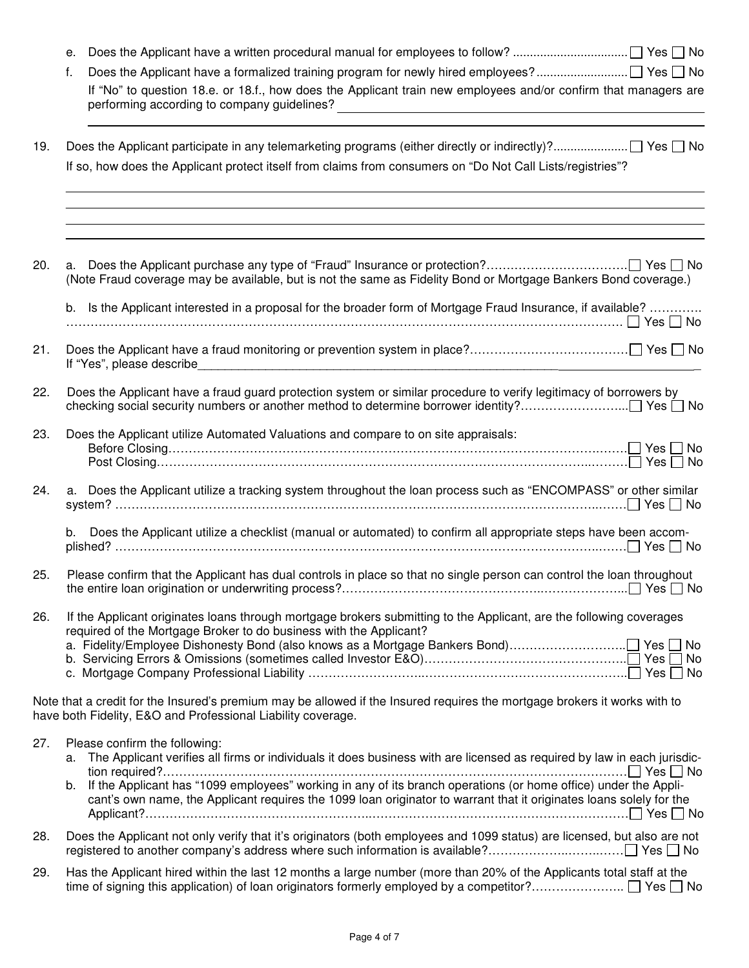|     | е.                                                                                                                                                                                                                                                                                                                                                                                                          |
|-----|-------------------------------------------------------------------------------------------------------------------------------------------------------------------------------------------------------------------------------------------------------------------------------------------------------------------------------------------------------------------------------------------------------------|
|     | f.                                                                                                                                                                                                                                                                                                                                                                                                          |
|     | If "No" to question 18.e. or 18.f., how does the Applicant train new employees and/or confirm that managers are<br>performing according to company guidelines?<br><u> 1989 - Johann Harry Harry Harry Harry Harry Harry Harry Harry Harry Harry Harry Harry Harry Harry Harry Harry</u>                                                                                                                     |
| 19. |                                                                                                                                                                                                                                                                                                                                                                                                             |
|     | If so, how does the Applicant protect itself from claims from consumers on "Do Not Call Lists/registries"?                                                                                                                                                                                                                                                                                                  |
|     |                                                                                                                                                                                                                                                                                                                                                                                                             |
| 20. | (Note Fraud coverage may be available, but is not the same as Fidelity Bond or Mortgage Bankers Bond coverage.)                                                                                                                                                                                                                                                                                             |
|     | b. Is the Applicant interested in a proposal for the broader form of Mortgage Fraud Insurance, if available?                                                                                                                                                                                                                                                                                                |
| 21. |                                                                                                                                                                                                                                                                                                                                                                                                             |
| 22. | Does the Applicant have a fraud guard protection system or similar procedure to verify legitimacy of borrowers by                                                                                                                                                                                                                                                                                           |
| 23. | Does the Applicant utilize Automated Valuations and compare to on site appraisals:<br>$Post Closing$                                                                                                                                                                                                                                                                                                        |
| 24. | a. Does the Applicant utilize a tracking system throughout the loan process such as "ENCOMPASS" or other similar                                                                                                                                                                                                                                                                                            |
|     | Does the Applicant utilize a checklist (manual or automated) to confirm all appropriate steps have been accom-<br>b.                                                                                                                                                                                                                                                                                        |
| 25. | Please confirm that the Applicant has dual controls in place so that no single person can control the loan throughout                                                                                                                                                                                                                                                                                       |
| 26. | If the Applicant originates loans through mortgage brokers submitting to the Applicant, are the following coverages<br>required of the Mortgage Broker to do business with the Applicant?<br>a. Fidelity/Employee Dishonesty Bond (also knows as a Mortgage Bankers Bond) Yes □ No                                                                                                                          |
|     | Note that a credit for the Insured's premium may be allowed if the Insured requires the mortgage brokers it works with to<br>have both Fidelity, E&O and Professional Liability coverage.                                                                                                                                                                                                                   |
| 27. | Please confirm the following:<br>The Applicant verifies all firms or individuals it does business with are licensed as required by law in each jurisdic-<br>a.<br>b. If the Applicant has "1099 employees" working in any of its branch operations (or home office) under the Appli-<br>cant's own name, the Applicant requires the 1099 loan originator to warrant that it originates loans solely for the |
| 28. | Does the Applicant not only verify that it's originators (both employees and 1099 status) are licensed, but also are not                                                                                                                                                                                                                                                                                    |
| 29. | Has the Applicant hired within the last 12 months a large number (more than 20% of the Applicants total staff at the                                                                                                                                                                                                                                                                                        |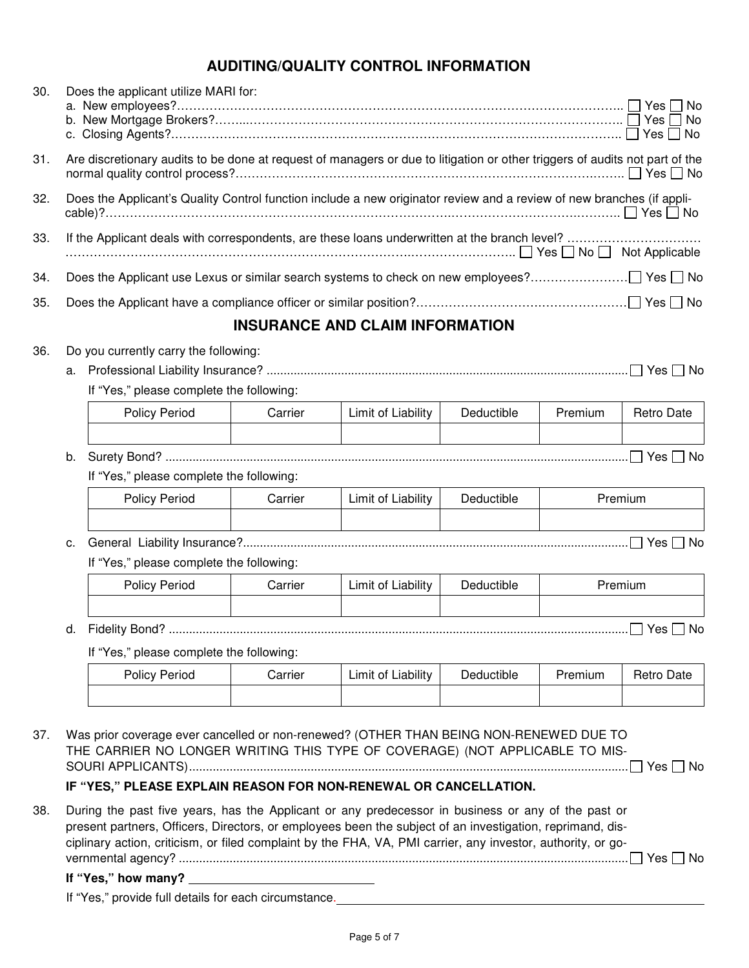# **AUDITING/QUALITY CONTROL INFORMATION**

| 30. | Does the applicant utilize MARI for:<br>b. New Mortgage Brokers?……………………………………………………………………………………… □ Yes □ No                |                                          |         |                                        |            |         |                   |
|-----|-----------------------------------------------------------------------------------------------------------------------------|------------------------------------------|---------|----------------------------------------|------------|---------|-------------------|
| 31. | Are discretionary audits to be done at request of managers or due to litigation or other triggers of audits not part of the |                                          |         |                                        |            |         |                   |
| 32. | Does the Applicant's Quality Control function include a new originator review and a review of new branches (if appli-       |                                          |         |                                        |            |         |                   |
| 33. |                                                                                                                             |                                          |         |                                        |            |         |                   |
| 34. |                                                                                                                             |                                          |         |                                        |            |         |                   |
| 35. |                                                                                                                             |                                          |         |                                        |            |         |                   |
|     |                                                                                                                             |                                          |         | <b>INSURANCE AND CLAIM INFORMATION</b> |            |         |                   |
| 36. |                                                                                                                             | Do you currently carry the following:    |         |                                        |            |         |                   |
|     |                                                                                                                             |                                          |         |                                        |            |         |                   |
|     |                                                                                                                             | If "Yes," please complete the following: |         |                                        |            |         |                   |
|     |                                                                                                                             | Policy Period                            | Carrier | Limit of Liability                     | Deductible | Premium | <b>Retro Date</b> |
|     | b.                                                                                                                          |                                          |         |                                        |            |         |                   |
|     |                                                                                                                             | If "Yes," please complete the following: |         |                                        |            |         |                   |
|     |                                                                                                                             | <b>Policy Period</b>                     | Carrier | Limit of Liability                     | Deductible |         | Premium           |
|     | c.                                                                                                                          |                                          |         |                                        |            |         |                   |
|     | If "Yes," please complete the following:                                                                                    |                                          |         |                                        |            |         |                   |
|     |                                                                                                                             | Policy Period                            | Carrier | Limit of Liability                     | Deductible |         | Premium           |
|     | d.                                                                                                                          |                                          |         |                                        |            |         | Yes $\Box$ No     |
|     | If "Yes," please complete the following:                                                                                    |                                          |         |                                        |            |         |                   |
|     |                                                                                                                             | <b>Policy Period</b>                     | Carrier | Limit of Liability                     | Deductible | Premium | <b>Retro Date</b> |
|     |                                                                                                                             |                                          |         |                                        |            |         |                   |

37. Was prior coverage ever cancelled or non-renewed? (OTHER THAN BEING NON-RENEWED DUE TO THE CARRIER NO LONGER WRITING THIS TYPE OF COVERAGE) (NOT APPLICABLE TO MIS-SOURI APPLICANTS) .................................................................................................................................. Yes No

## **IF "YES," PLEASE EXPLAIN REASON FOR NON-RENEWAL OR CANCELLATION.**

38. During the past five years, has the Applicant or any predecessor in business or any of the past or present partners, Officers, Directors, or employees been the subject of an investigation, reprimand, disciplinary action, criticism, or filed complaint by the FHA, VA, PMI carrier, any investor, authority, or governmental agency? ..................................................................................................................................... Yes No **If "Yes," how many?** 

If "Yes," provide full details for each circumstance.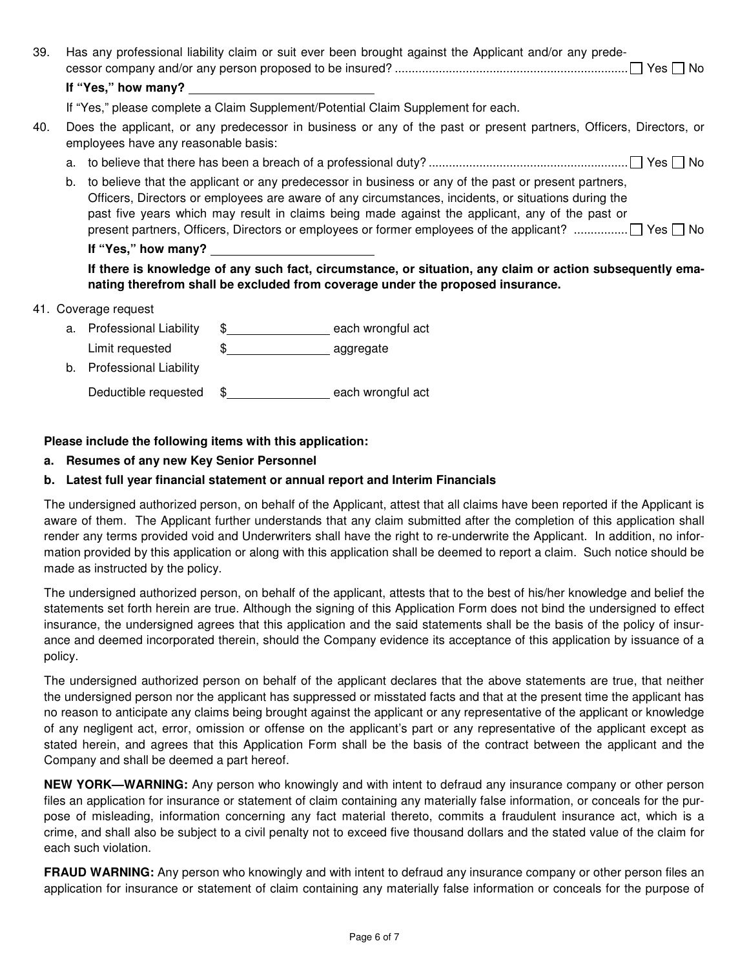| 39. | Has any professional liability claim or suit ever been brought against the Applicant and/or any prede-                                                                                                                                                                                                                                                                                                                        |
|-----|-------------------------------------------------------------------------------------------------------------------------------------------------------------------------------------------------------------------------------------------------------------------------------------------------------------------------------------------------------------------------------------------------------------------------------|
|     | If "Yes," how many?                                                                                                                                                                                                                                                                                                                                                                                                           |
|     | If "Yes," please complete a Claim Supplement/Potential Claim Supplement for each.                                                                                                                                                                                                                                                                                                                                             |
| 40. | Does the applicant, or any predecessor in business or any of the past or present partners, Officers, Directors, or<br>employees have any reasonable basis:                                                                                                                                                                                                                                                                    |
|     | a.                                                                                                                                                                                                                                                                                                                                                                                                                            |
|     | to believe that the applicant or any predecessor in business or any of the past or present partners,<br>b.<br>Officers, Directors or employees are aware of any circumstances, incidents, or situations during the<br>past five years which may result in claims being made against the applicant, any of the past or<br>present partners, Officers, Directors or employees or former employees of the applicant?  T Yes □ No |
|     | If "Yes," how many?                                                                                                                                                                                                                                                                                                                                                                                                           |
|     | If there is knowledge of any such fact, circumstance, or situation, any claim or action subsequently ema-<br>nating therefrom shall be excluded from coverage under the proposed insurance.                                                                                                                                                                                                                                   |
|     | 41. Coverage request                                                                                                                                                                                                                                                                                                                                                                                                          |
|     | a Dustana di Julian Dustana di Latin di Tanzania di Tanzania di Tanzania di Tanzania di Tanzania di Tanzania d<br>القمامي المتكسم متمسمات المامسية المستند                                                                                                                                                                                                                                                                    |

- a. Professional Liability  $\quad \text{\AA}}$   $\quad \text{mean}$  each wrongful act Limit requested  $\qquad \quad \text{\$} \qquad \qquad \quad \text{\$}$
- b. Professional Liability

Deductible requested  $\quad$  \$ each wrongful act

### **Please include the following items with this application:**

**a. Resumes of any new Key Senior Personnel** 

#### **b. Latest full year financial statement or annual report and Interim Financials**

The undersigned authorized person, on behalf of the Applicant, attest that all claims have been reported if the Applicant is aware of them. The Applicant further understands that any claim submitted after the completion of this application shall render any terms provided void and Underwriters shall have the right to re-underwrite the Applicant. In addition, no information provided by this application or along with this application shall be deemed to report a claim. Such notice should be made as instructed by the policy.

The undersigned authorized person, on behalf of the applicant, attests that to the best of his/her knowledge and belief the statements set forth herein are true. Although the signing of this Application Form does not bind the undersigned to effect insurance, the undersigned agrees that this application and the said statements shall be the basis of the policy of insurance and deemed incorporated therein, should the Company evidence its acceptance of this application by issuance of a policy.

The undersigned authorized person on behalf of the applicant declares that the above statements are true, that neither the undersigned person nor the applicant has suppressed or misstated facts and that at the present time the applicant has no reason to anticipate any claims being brought against the applicant or any representative of the applicant or knowledge of any negligent act, error, omission or offense on the applicant's part or any representative of the applicant except as stated herein, and agrees that this Application Form shall be the basis of the contract between the applicant and the Company and shall be deemed a part hereof.

**NEW YORK—WARNING:** Any person who knowingly and with intent to defraud any insurance company or other person files an application for insurance or statement of claim containing any materially false information, or conceals for the purpose of misleading, information concerning any fact material thereto, commits a fraudulent insurance act, which is a crime, and shall also be subject to a civil penalty not to exceed five thousand dollars and the stated value of the claim for each such violation.

**FRAUD WARNING:** Any person who knowingly and with intent to defraud any insurance company or other person files an application for insurance or statement of claim containing any materially false information or conceals for the purpose of